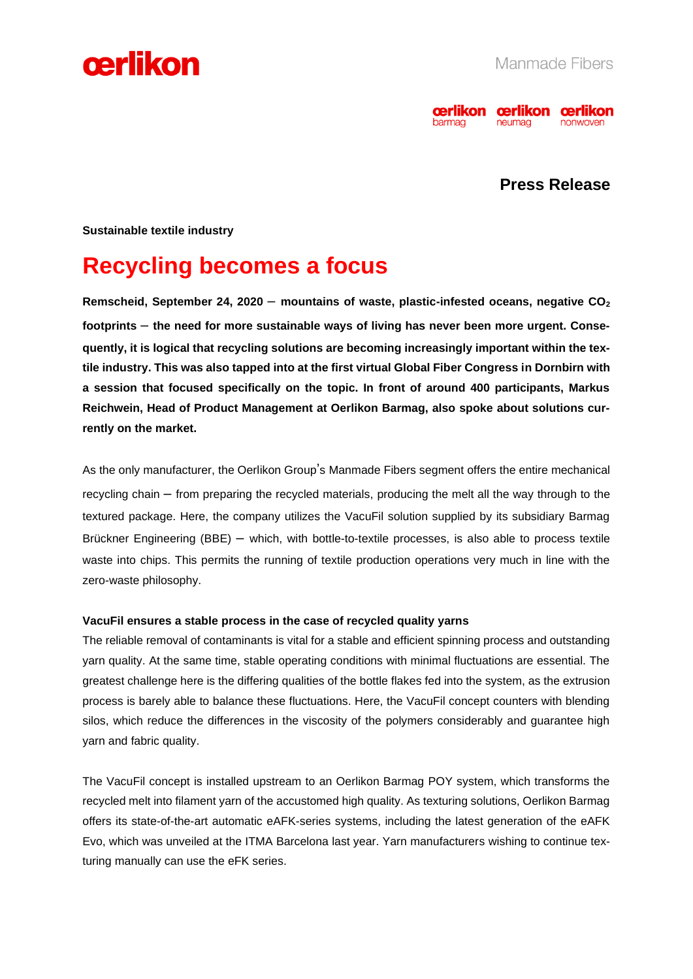



### **Press Release**

**Sustainable textile industry** 

## **Recycling becomes a focus**

**Remscheid, September 24, 2020** – **mountains of waste, plastic-infested oceans, negative CO<sup>2</sup> footprints** – **the need for more sustainable ways of living has never been more urgent. Consequently, it is logical that recycling solutions are becoming increasingly important within the textile industry. This was also tapped into at the first virtual Global Fiber Congress in Dornbirn with a session that focused specifically on the topic. In front of around 400 participants, Markus Reichwein, Head of Product Management at Oerlikon Barmag, also spoke about solutions currently on the market.** 

As the only manufacturer, the Oerlikon Group's Manmade Fibers segment offers the entire mechanical recycling chain – from preparing the recycled materials, producing the melt all the way through to the textured package. Here, the company utilizes the VacuFil solution supplied by its subsidiary Barmag Brückner Engineering (BBE) – which, with bottle-to-textile processes, is also able to process textile waste into chips. This permits the running of textile production operations very much in line with the zero-waste philosophy.

#### **VacuFil ensures a stable process in the case of recycled quality yarns**

The reliable removal of contaminants is vital for a stable and efficient spinning process and outstanding yarn quality. At the same time, stable operating conditions with minimal fluctuations are essential. The greatest challenge here is the differing qualities of the bottle flakes fed into the system, as the extrusion process is barely able to balance these fluctuations. Here, the VacuFil concept counters with blending silos, which reduce the differences in the viscosity of the polymers considerably and guarantee high yarn and fabric quality.

The VacuFil concept is installed upstream to an Oerlikon Barmag POY system, which transforms the recycled melt into filament yarn of the accustomed high quality. As texturing solutions, Oerlikon Barmag offers its state-of-the-art automatic eAFK-series systems, including the latest generation of the eAFK Evo, which was unveiled at the ITMA Barcelona last year. Yarn manufacturers wishing to continue texturing manually can use the eFK series.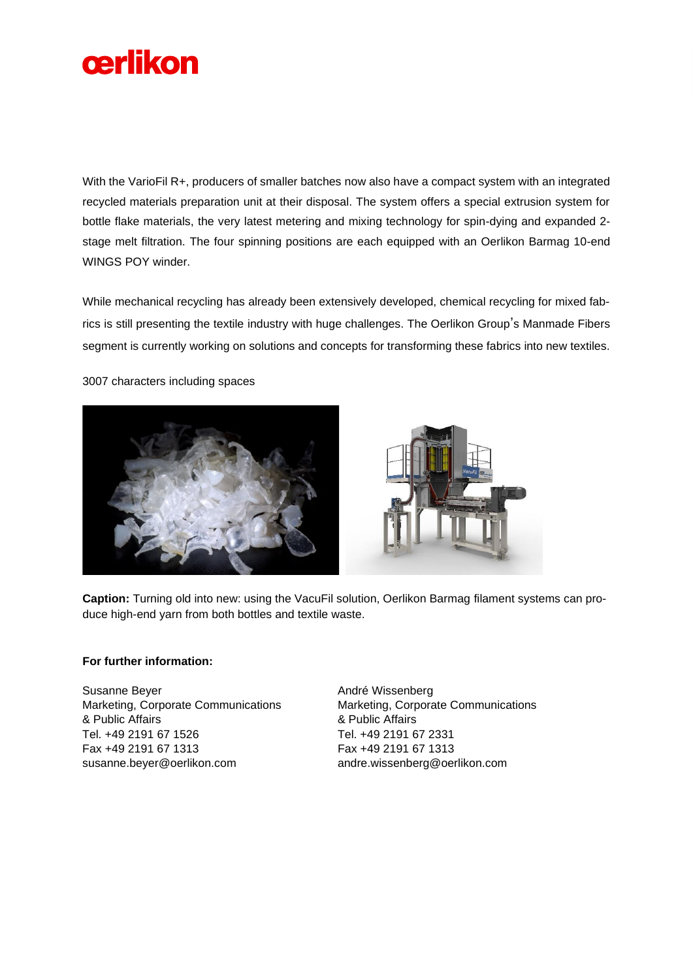

With the VarioFil R+, producers of smaller batches now also have a compact system with an integrated recycled materials preparation unit at their disposal. The system offers a special extrusion system for bottle flake materials, the very latest metering and mixing technology for spin-dying and expanded 2 stage melt filtration. The four spinning positions are each equipped with an Oerlikon Barmag 10-end WINGS POY winder.

While mechanical recycling has already been extensively developed, chemical recycling for mixed fabrics is still presenting the textile industry with huge challenges. The Oerlikon Group's Manmade Fibers segment is currently working on solutions and concepts for transforming these fabrics into new textiles.

3007 characters including spaces





**Caption:** Turning old into new: using the VacuFil solution, Oerlikon Barmag filament systems can produce high-end yarn from both bottles and textile waste.

#### **For further information:**

Susanne Beyer Marketing, Corporate Communications & Public Affairs Tel. +49 2191 67 1526 Fax +49 2191 67 1313 susanne.beyer@oerlikon.com

André Wissenberg Marketing, Corporate Communications & Public Affairs Tel. +49 2191 67 2331 Fax +49 2191 67 1313 andre.wissenberg@oerlikon.com